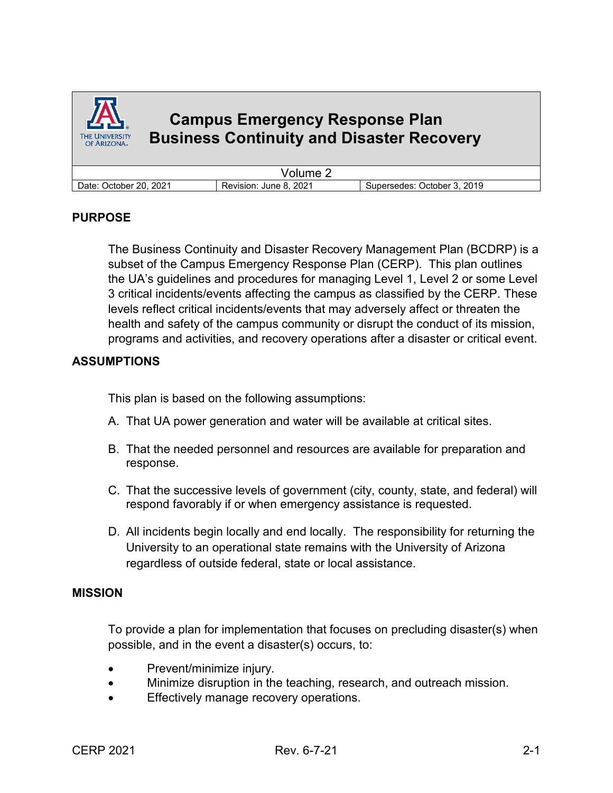

# **Campus Emergency Response Plan Business Continuity and Disaster Recovery**

| ™e.<br>ιr<br>л |           |             |  |  |
|----------------|-----------|-------------|--|--|
| 2021           | 2021      | . 2019      |  |  |
| October 20     | Revision: | October ?   |  |  |
| Date:          | ∸June 8.  | Supersedes: |  |  |

## **PURPOSE**

The Business Continuity and Disaster Recovery Management Plan (BCDRP) is a subset of the Campus Emergency Response Plan (CERP). This plan outlines the UA's guidelines and procedures for managing Level 1, Level 2 or some Level 3 critical incidents/events affecting the campus as classified by the CERP. These levels reflect critical incidents/events that may adversely affect or threaten the health and safety of the campus community or disrupt the conduct of its mission, programs and activities, and recovery operations after a disaster or critical event.

## **ASSUMPTIONS**

This plan is based on the following assumptions:

- A. That UA power generation and water will be available at critical sites.
- B. That the needed personnel and resources are available for preparation and response.
- C. That the successive levels of government (city, county, state, and federal) will respond favorably if or when emergency assistance is requested.
- D. All incidents begin locally and end locally. The responsibility for returning the University to an operational state remains with the University of Arizona regardless of outside federal, state or local assistance.

#### **MISSION**

To provide a plan for implementation that focuses on precluding disaster(s) when possible, and in the event a disaster(s) occurs, to:

- Prevent/minimize injury.
- Minimize disruption in the teaching, research, and outreach mission.
- Effectively manage recovery operations.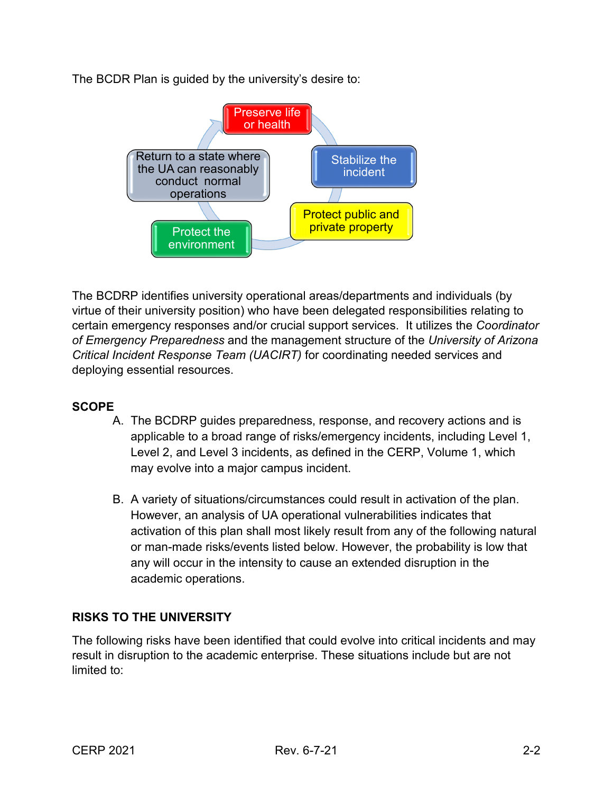The BCDR Plan is guided by the university's desire to:



The BCDRP identifies university operational areas/departments and individuals (by virtue of their university position) who have been delegated responsibilities relating to certain emergency responses and/or crucial support services. It utilizes the *Coordinator of Emergency Preparedness* and the management structure of the *University of Arizona Critical Incident Response Team (UACIRT)* for coordinating needed services and deploying essential resources.

## **SCOPE**

- A. The BCDRP guides preparedness, response, and recovery actions and is applicable to a broad range of risks/emergency incidents, including Level 1, Level 2, and Level 3 incidents, as defined in the CERP, Volume 1, which may evolve into a major campus incident.
- B. A variety of situations/circumstances could result in activation of the plan. However, an analysis of UA operational vulnerabilities indicates that activation of this plan shall most likely result from any of the following natural or man-made risks/events listed below. However, the probability is low that any will occur in the intensity to cause an extended disruption in the academic operations.

# **RISKS TO THE UNIVERSITY**

The following risks have been identified that could evolve into critical incidents and may result in disruption to the academic enterprise. These situations include but are not limited to: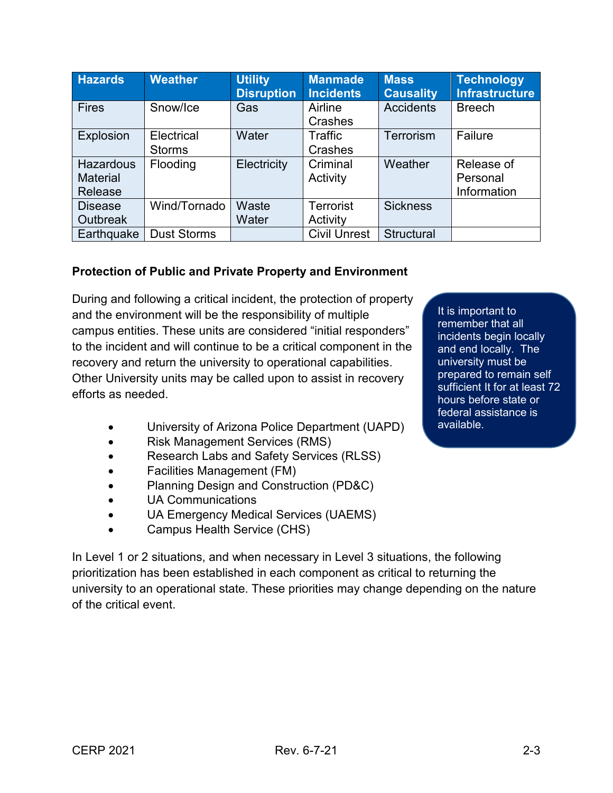| <b>Hazards</b>   | <b>Weather</b>     | <b>Utility</b><br><b>Disruption</b> | <b>Manmade</b><br>Incidents | <b>Mass</b><br><b>Causality</b> | <b>Technology</b><br><b>Infrastructure</b> |
|------------------|--------------------|-------------------------------------|-----------------------------|---------------------------------|--------------------------------------------|
| <b>Fires</b>     | Snow/Ice           | Gas                                 | Airline                     | <b>Accidents</b>                | <b>Breech</b>                              |
|                  |                    |                                     | Crashes                     |                                 |                                            |
| <b>Explosion</b> | Electrical         | <b>Water</b>                        | Traffic                     | <b>Terrorism</b>                | Failure                                    |
|                  | <b>Storms</b>      |                                     | Crashes                     |                                 |                                            |
| <b>Hazardous</b> | Flooding           | Electricity                         | Criminal                    | Weather                         | Release of                                 |
| <b>Material</b>  |                    |                                     | Activity                    |                                 | Personal                                   |
| <b>Release</b>   |                    |                                     |                             |                                 | Information                                |
| <b>Disease</b>   | Wind/Tornado       | Waste                               | <b>Terrorist</b>            | <b>Sickness</b>                 |                                            |
| <b>Outbreak</b>  |                    | Water                               | Activity                    |                                 |                                            |
| Earthquake       | <b>Dust Storms</b> |                                     | <b>Civil Unrest</b>         | <b>Structural</b>               |                                            |

## **Protection of Public and Private Property and Environment**

During and following a critical incident, the protection of property and the environment will be the responsibility of multiple campus entities. These units are considered "initial responders" to the incident and will continue to be a critical component in the recovery and return the university to operational capabilities. Other University units may be called upon to assist in recovery efforts as needed.

- University of Arizona Police Department (UAPD)
- Risk Management Services (RMS)
- Research Labs and Safety Services (RLSS)
- Facilities Management (FM)
- Planning Design and Construction (PD&C)
- UA Communications
- UA Emergency Medical Services (UAEMS)
- Campus Health Service (CHS)

In Level 1 or 2 situations, and when necessary in Level 3 situations, the following prioritization has been established in each component as critical to returning the university to an operational state. These priorities may change depending on the nature of the critical event.

It is important to remember that all incidents begin locally and end locally. The university must be prepared to remain self sufficient It for at least 72 hours before state or federal assistance is available.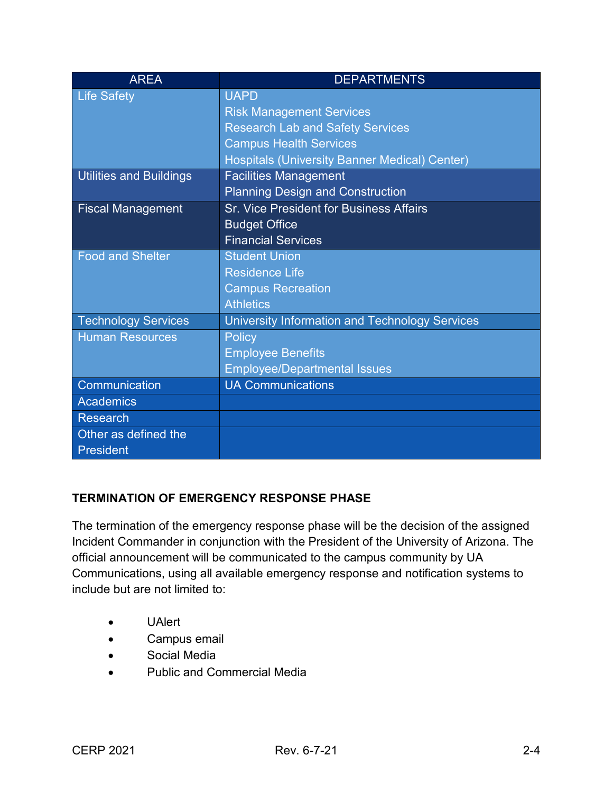| <b>AREA</b>                    | <b>DEPARTMENTS</b>                                   |
|--------------------------------|------------------------------------------------------|
| <b>Life Safety</b>             | <b>UAPD</b>                                          |
|                                | <b>Risk Management Services</b>                      |
|                                | <b>Research Lab and Safety Services</b>              |
|                                | <b>Campus Health Services</b>                        |
|                                | <b>Hospitals (University Banner Medical) Center)</b> |
| <b>Utilities and Buildings</b> | <b>Facilities Management</b>                         |
|                                | <b>Planning Design and Construction</b>              |
| <b>Fiscal Management</b>       | <b>Sr. Vice President for Business Affairs</b>       |
|                                | <b>Budget Office</b>                                 |
|                                | <b>Financial Services</b>                            |
| <b>Food and Shelter</b>        | <b>Student Union</b>                                 |
|                                | <b>Residence Life</b>                                |
|                                | <b>Campus Recreation</b>                             |
|                                | <b>Athletics</b>                                     |
| <b>Technology Services</b>     | University Information and Technology Services       |
| <b>Human Resources</b>         | <b>Policy</b>                                        |
|                                | <b>Employee Benefits</b>                             |
|                                | <b>Employee/Departmental Issues</b>                  |
| Communication                  | <b>UA Communications</b>                             |
| Academics                      |                                                      |
| Research                       |                                                      |
| Other as defined the           |                                                      |
| President                      |                                                      |

# **TERMINATION OF EMERGENCY RESPONSE PHASE**

The termination of the emergency response phase will be the decision of the assigned Incident Commander in conjunction with the President of the University of Arizona. The official announcement will be communicated to the campus community by UA Communications, using all available emergency response and notification systems to include but are not limited to:

- UAlert
- Campus email
- Social Media
- Public and Commercial Media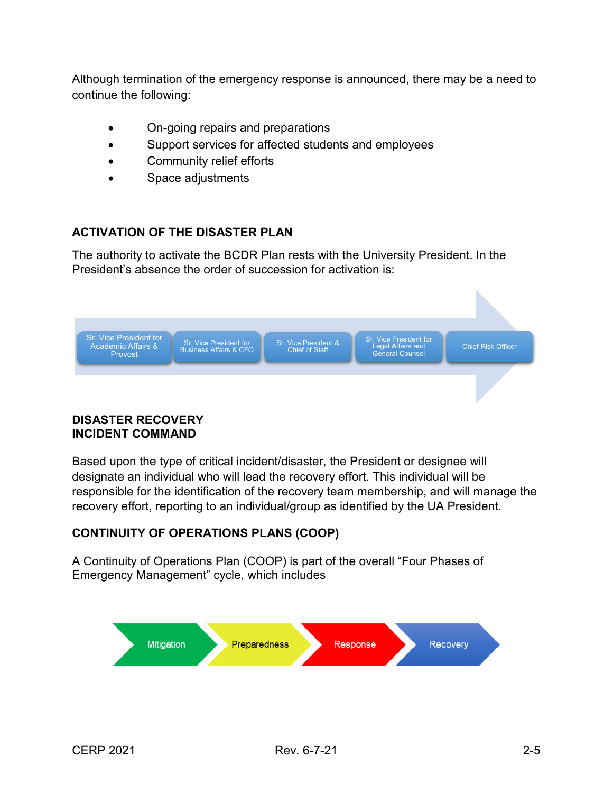Although termination of the emergency response is announced, there may be a need to continue the following:

- On-going repairs and preparations
- Support services for affected students and employees
- Community relief efforts
- Space adjustments

## **ACTIVATION OF THE DISASTER PLAN**

The authority to activate the BCDR Plan rests with the University President. In the President's absence the order of succession for activation is:



#### **DISASTER RECOVERY INCIDENT COMMAND**

Based upon the type of critical incident/disaster, the President or designee will designate an individual who will lead the recovery effort. This individual will be responsible for the identification of the recovery team membership, and will manage the recovery effort, reporting to an individual/group as identified by the UA President.

## **CONTINUITY OF OPERATIONS PLANS (COOP)**

A Continuity of Operations Plan (COOP) is part of the overall "Four Phases of Emergency Management" cycle, which includes

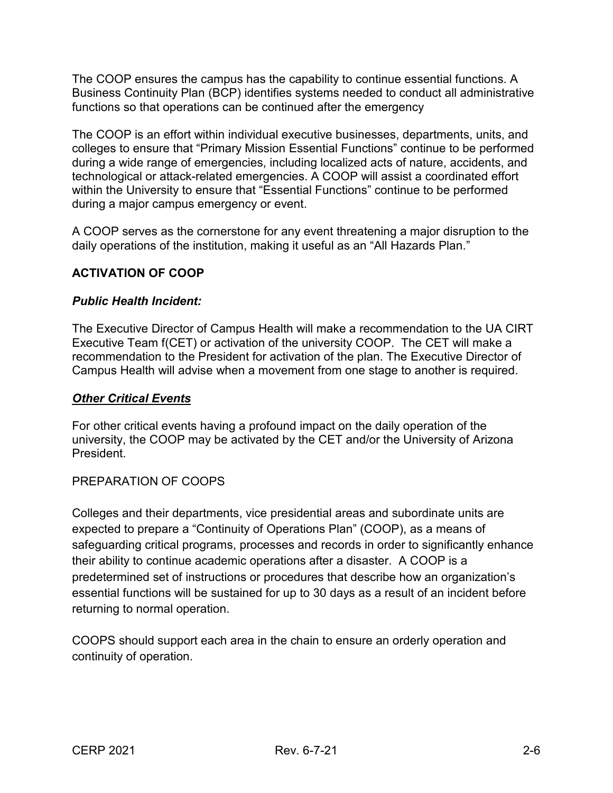The COOP ensures the campus has the capability to continue essential functions. A Business Continuity Plan (BCP) identifies systems needed to conduct all administrative functions so that operations can be continued after the emergency

The COOP is an effort within individual executive businesses, departments, units, and colleges to ensure that "Primary Mission Essential Functions" continue to be performed during a wide range of emergencies, including localized acts of nature, accidents, and technological or attack-related emergencies. A COOP will assist a coordinated effort within the University to ensure that "Essential Functions" continue to be performed during a major campus emergency or event.

A COOP serves as the cornerstone for any event threatening a major disruption to the daily operations of the institution, making it useful as an "All Hazards Plan."

## **ACTIVATION OF COOP**

## *Public Health Incident:*

The Executive Director of Campus Health will make a recommendation to the UA CIRT Executive Team f(CET) or activation of the university COOP. The CET will make a recommendation to the President for activation of the plan. The Executive Director of Campus Health will advise when a movement from one stage to another is required.

## *Other Critical Events*

For other critical events having a profound impact on the daily operation of the university, the COOP may be activated by the CET and/or the University of Arizona President.

## PREPARATION OF COOPS

Colleges and their departments, vice presidential areas and subordinate units are expected to prepare a "Continuity of Operations Plan" (COOP), as a means of safeguarding critical programs, processes and records in order to significantly enhance their ability to continue academic operations after a disaster.A COOP is a predetermined set of instructions or procedures that describe how an organization's essential functions will be sustained for up to 30 days as a result of an incident before returning to normal operation.

COOPS should support each area in the chain to ensure an orderly operation and continuity of operation.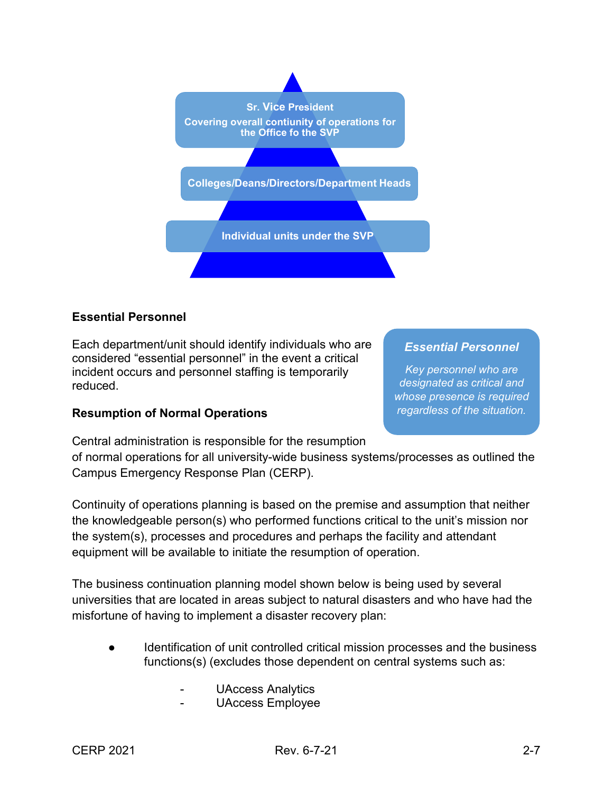

## **Essential Personnel**

Each department/unit should identify individuals who are considered "essential personnel" in the event a critical incident occurs and personnel staffing is temporarily reduced.

## **Resumption of Normal Operations**

Central administration is responsible for the resumption

#### *Essential Personnel*

*Key personnel who are designated as critical and whose presence is required regardless of the situation.*

of normal operations for all university-wide business systems/processes as outlined the Campus Emergency Response Plan (CERP).

Continuity of operations planning is based on the premise and assumption that neither the knowledgeable person(s) who performed functions critical to the unit's mission nor the system(s), processes and procedures and perhaps the facility and attendant equipment will be available to initiate the resumption of operation.

The business continuation planning model shown below is being used by several universities that are located in areas subject to natural disasters and who have had the misfortune of having to implement a disaster recovery plan:

- Identification of unit controlled critical mission processes and the business functions(s) (excludes those dependent on central systems such as:
	- UAccess Analytics
	- UAccess Employee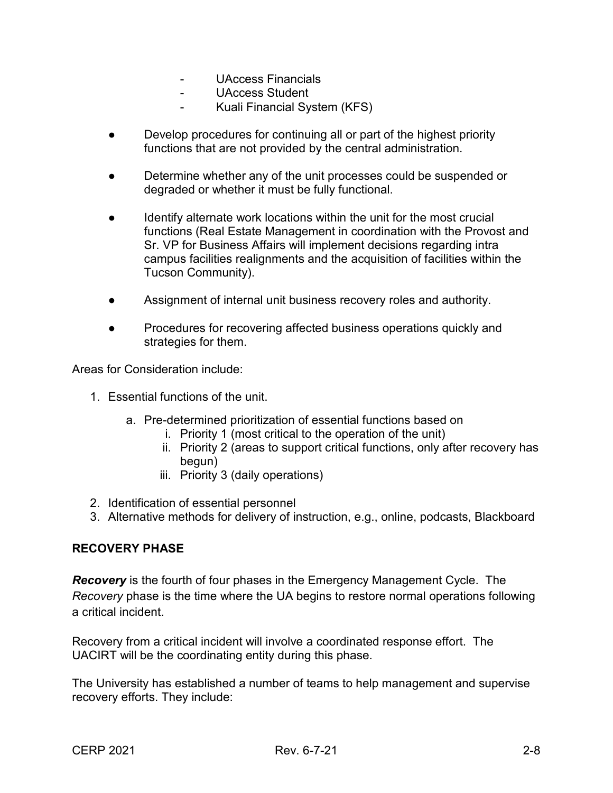- UAccess Financials
- UAccess Student
- Kuali Financial System (KFS)
- Develop procedures for continuing all or part of the highest priority functions that are not provided by the central administration.
- Determine whether any of the unit processes could be suspended or degraded or whether it must be fully functional.
- Identify alternate work locations within the unit for the most crucial functions (Real Estate Management in coordination with the Provost and Sr. VP for Business Affairs will implement decisions regarding intra campus facilities realignments and the acquisition of facilities within the Tucson Community).
- Assignment of internal unit business recovery roles and authority.
- Procedures for recovering affected business operations quickly and strategies for them.

Areas for Consideration include:

- 1. Essential functions of the unit.
	- a. Pre-determined prioritization of essential functions based on
		- i. Priority 1 (most critical to the operation of the unit)
		- ii. Priority 2 (areas to support critical functions, only after recovery has begun)
		- iii. Priority 3 (daily operations)
- 2. Identification of essential personnel
- 3. Alternative methods for delivery of instruction, e.g., online, podcasts, Blackboard

## **RECOVERY PHASE**

*Recovery* is the fourth of four phases in the Emergency Management Cycle. The *Recovery* phase is the time where the UA begins to restore normal operations following a critical incident.

Recovery from a critical incident will involve a coordinated response effort. The UACIRT will be the coordinating entity during this phase.

The University has established a number of teams to help management and supervise recovery efforts. They include: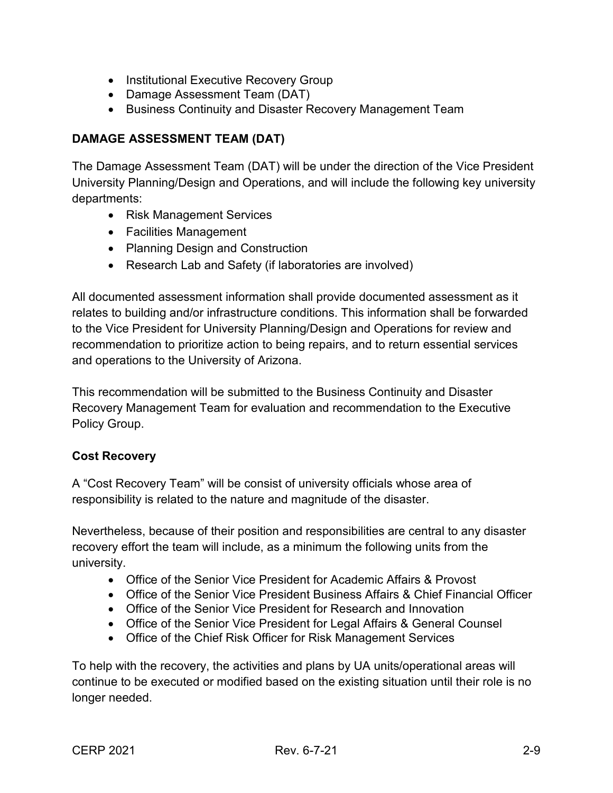- Institutional Executive Recovery Group
- Damage Assessment Team (DAT)
- Business Continuity and Disaster Recovery Management Team

## **DAMAGE ASSESSMENT TEAM (DAT)**

The Damage Assessment Team (DAT) will be under the direction of the Vice President University Planning/Design and Operations, and will include the following key university departments:

- Risk Management Services
- Facilities Management
- Planning Design and Construction
- Research Lab and Safety (if laboratories are involved)

All documented assessment information shall provide documented assessment as it relates to building and/or infrastructure conditions. This information shall be forwarded to the Vice President for University Planning/Design and Operations for review and recommendation to prioritize action to being repairs, and to return essential services and operations to the University of Arizona.

This recommendation will be submitted to the Business Continuity and Disaster Recovery Management Team for evaluation and recommendation to the Executive Policy Group.

## **Cost Recovery**

A "Cost Recovery Team" will be consist of university officials whose area of responsibility is related to the nature and magnitude of the disaster.

Nevertheless, because of their position and responsibilities are central to any disaster recovery effort the team will include, as a minimum the following units from the university.

- Office of the Senior Vice President for Academic Affairs & Provost
- Office of the Senior Vice President Business Affairs & Chief Financial Officer
- Office of the Senior Vice President for Research and Innovation
- Office of the Senior Vice President for Legal Affairs & General Counsel
- Office of the Chief Risk Officer for Risk Management Services

To help with the recovery, the activities and plans by UA units/operational areas will continue to be executed or modified based on the existing situation until their role is no longer needed.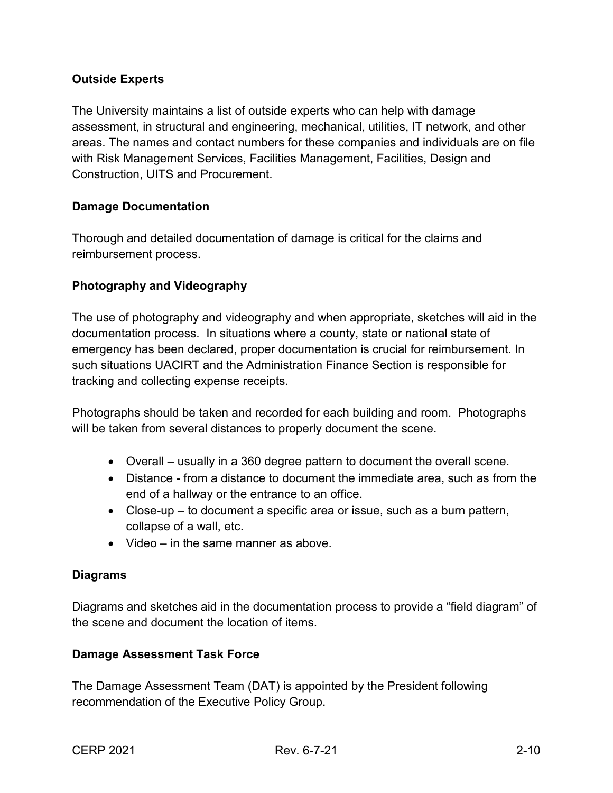## **Outside Experts**

The University maintains a list of outside experts who can help with damage assessment, in structural and engineering, mechanical, utilities, IT network, and other areas. The names and contact numbers for these companies and individuals are on file with Risk Management Services, Facilities Management, Facilities, Design and Construction, UITS and Procurement.

## **Damage Documentation**

Thorough and detailed documentation of damage is critical for the claims and reimbursement process.

## **Photography and Videography**

The use of photography and videography and when appropriate, sketches will aid in the documentation process. In situations where a county, state or national state of emergency has been declared, proper documentation is crucial for reimbursement. In such situations UACIRT and the Administration Finance Section is responsible for tracking and collecting expense receipts.

Photographs should be taken and recorded for each building and room. Photographs will be taken from several distances to properly document the scene.

- Overall usually in a 360 degree pattern to document the overall scene.
- Distance from a distance to document the immediate area, such as from the end of a hallway or the entrance to an office.
- Close-up to document a specific area or issue, such as a burn pattern, collapse of a wall, etc.
- Video in the same manner as above.

## **Diagrams**

Diagrams and sketches aid in the documentation process to provide a "field diagram" of the scene and document the location of items.

## **Damage Assessment Task Force**

The Damage Assessment Team (DAT) is appointed by the President following recommendation of the Executive Policy Group.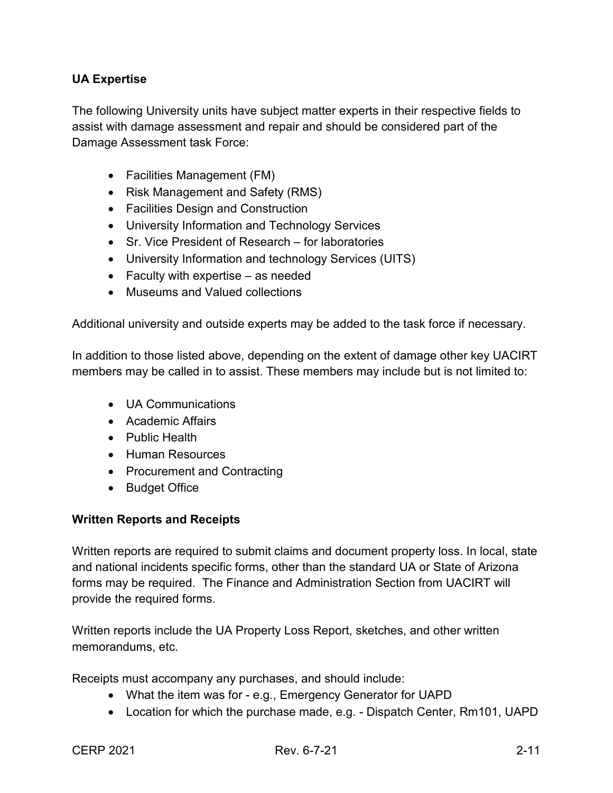## **UA Expertise**

The following University units have subject matter experts in their respective fields to assist with damage assessment and repair and should be considered part of the Damage Assessment task Force:

- Facilities Management (FM)
- Risk Management and Safety (RMS)
- Facilities Design and Construction
- University Information and Technology Services
- Sr. Vice President of Research for laboratories
- University Information and technology Services (UITS)
- Faculty with expertise as needed
- Museums and Valued collections

Additional university and outside experts may be added to the task force if necessary.

In addition to those listed above, depending on the extent of damage other key UACIRT members may be called in to assist. These members may include but is not limited to:

- UA Communications
- Academic Affairs
- Public Health
- Human Resources
- Procurement and Contracting
- Budget Office

## **Written Reports and Receipts**

Written reports are required to submit claims and document property loss. In local, state and national incidents specific forms, other than the standard UA or State of Arizona forms may be required. The Finance and Administration Section from UACIRT will provide the required forms.

Written reports include the UA Property Loss Report, sketches, and other written memorandums, etc.

Receipts must accompany any purchases, and should include:

- What the item was for e.g., Emergency Generator for UAPD
- Location for which the purchase made, e.g. Dispatch Center, Rm101, UAPD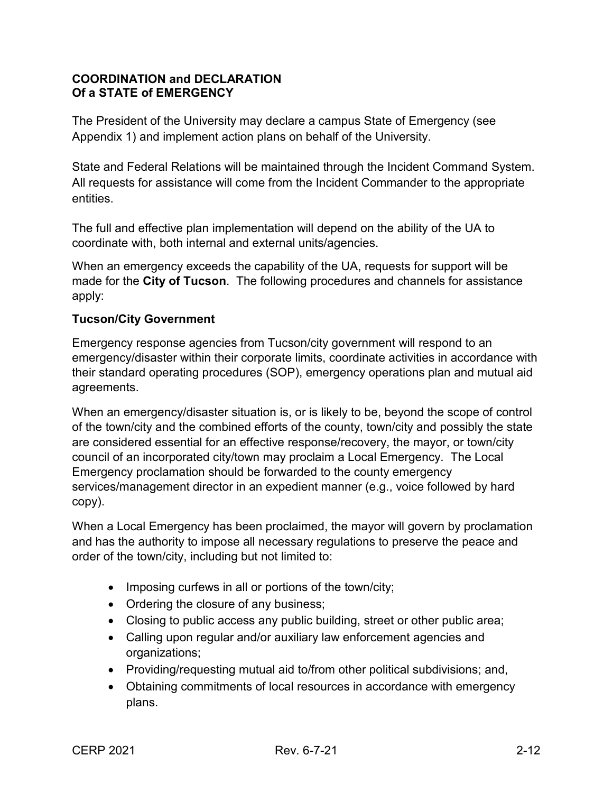## **COORDINATION and DECLARATION Of a STATE of EMERGENCY**

The President of the University may declare a campus State of Emergency (see Appendix 1) and implement action plans on behalf of the University.

State and Federal Relations will be maintained through the Incident Command System. All requests for assistance will come from the Incident Commander to the appropriate entities.

The full and effective plan implementation will depend on the ability of the UA to coordinate with, both internal and external units/agencies.

When an emergency exceeds the capability of the UA, requests for support will be made for the **City of Tucson**. The following procedures and channels for assistance apply:

## **Tucson/City Government**

Emergency response agencies from Tucson/city government will respond to an emergency/disaster within their corporate limits, coordinate activities in accordance with their standard operating procedures (SOP), emergency operations plan and mutual aid agreements.

When an emergency/disaster situation is, or is likely to be, beyond the scope of control of the town/city and the combined efforts of the county, town/city and possibly the state are considered essential for an effective response/recovery, the mayor, or town/city council of an incorporated city/town may proclaim a Local Emergency. The Local Emergency proclamation should be forwarded to the county emergency services/management director in an expedient manner (e.g., voice followed by hard copy).

When a Local Emergency has been proclaimed, the mayor will govern by proclamation and has the authority to impose all necessary regulations to preserve the peace and order of the town/city, including but not limited to:

- Imposing curfews in all or portions of the town/city;
- Ordering the closure of any business;
- Closing to public access any public building, street or other public area;
- Calling upon regular and/or auxiliary law enforcement agencies and organizations;
- Providing/requesting mutual aid to/from other political subdivisions; and,
- Obtaining commitments of local resources in accordance with emergency plans.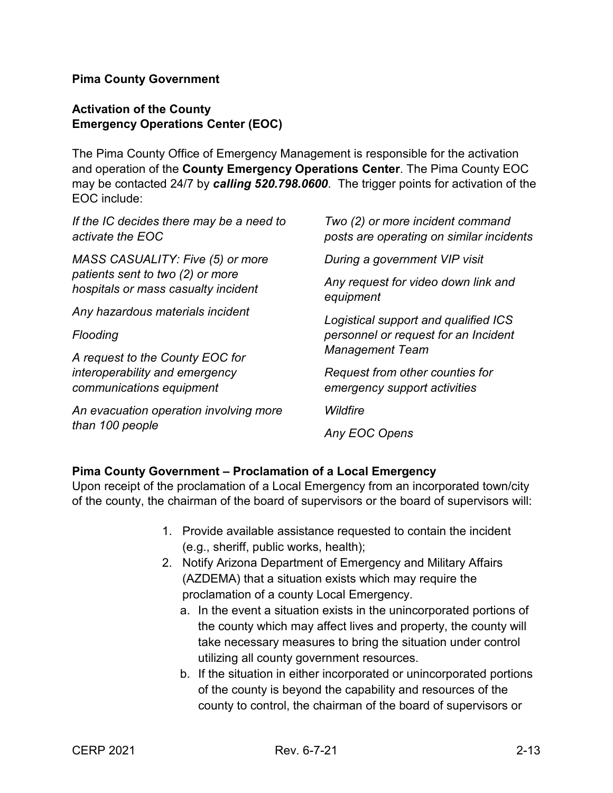## **Pima County Government**

## **Activation of the County Emergency Operations Center (EOC)**

The Pima County Office of Emergency Management is responsible for the activation and operation of the **County Emergency Operations Center**. The Pima County EOC may be contacted 24/7 by *calling 520.798.0600*. The trigger points for activation of the EOC include:

| If the IC decides there may be a need to<br>activate the EOC            | Two (2) or more incident command<br>posts are operating on similar incidents                           |  |
|-------------------------------------------------------------------------|--------------------------------------------------------------------------------------------------------|--|
| MASS CASUALITY: Five (5) or more                                        | During a government VIP visit                                                                          |  |
| patients sent to two (2) or more<br>hospitals or mass casualty incident | Any request for video down link and<br>equipment                                                       |  |
| Any hazardous materials incident                                        | Logistical support and qualified ICS<br>personnel or request for an Incident<br><b>Management Team</b> |  |
| Flooding                                                                |                                                                                                        |  |
| A request to the County EOC for                                         |                                                                                                        |  |
| interoperability and emergency<br>communications equipment              | Request from other counties for<br>emergency support activities                                        |  |
| An evacuation operation involving more                                  | Wildfire                                                                                               |  |
| than 100 people                                                         | Any EOC Opens                                                                                          |  |

## **Pima County Government – Proclamation of a Local Emergency**

Upon receipt of the proclamation of a Local Emergency from an incorporated town/city of the county, the chairman of the board of supervisors or the board of supervisors will:

- 1. Provide available assistance requested to contain the incident (e.g., sheriff, public works, health);
- 2. Notify Arizona Department of Emergency and Military Affairs (AZDEMA) that a situation exists which may require the proclamation of a county Local Emergency.
	- a. In the event a situation exists in the unincorporated portions of the county which may affect lives and property, the county will take necessary measures to bring the situation under control utilizing all county government resources.
	- b. If the situation in either incorporated or unincorporated portions of the county is beyond the capability and resources of the county to control, the chairman of the board of supervisors or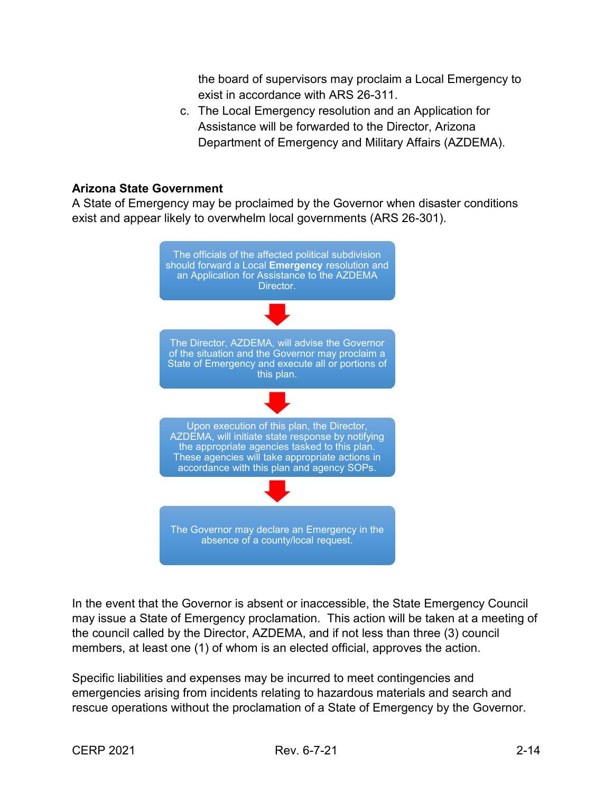the board of supervisors may proclaim a Local Emergency to exist in accordance with ARS 26-311.

c. The Local Emergency resolution and an Application for Assistance will be forwarded to the Director, Arizona Department of Emergency and Military Affairs (AZDEMA).

## **Arizona State Government**

A State of Emergency may be proclaimed by the Governor when disaster conditions exist and appear likely to overwhelm local governments (ARS 26-301).



In the event that the Governor is absent or inaccessible, the State Emergency Council may issue a State of Emergency proclamation. This action will be taken at a meeting of the council called by the Director, AZDEMA, and if not less than three (3) council members, at least one (1) of whom is an elected official, approves the action.

Specific liabilities and expenses may be incurred to meet contingencies and emergencies arising from incidents relating to hazardous materials and search and rescue operations without the proclamation of a State of Emergency by the Governor.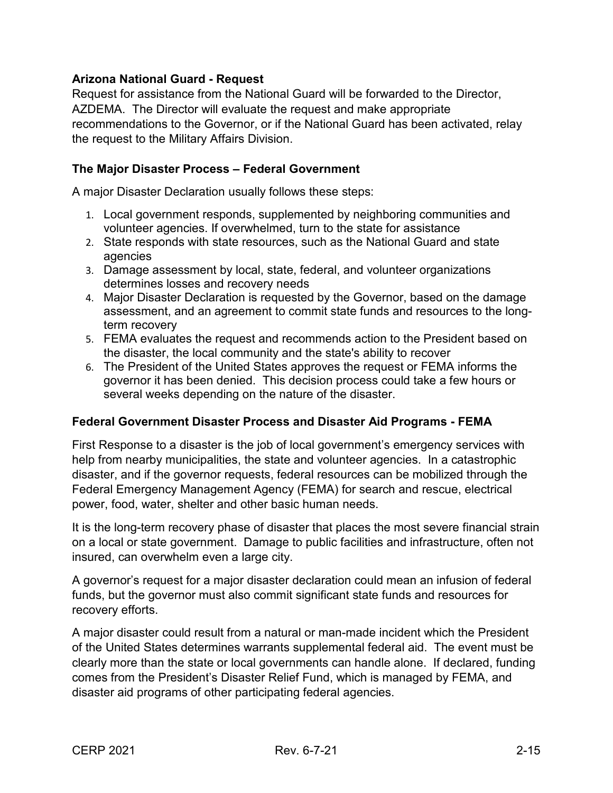## **Arizona National Guard - Request**

Request for assistance from the National Guard will be forwarded to the Director, AZDEMA. The Director will evaluate the request and make appropriate recommendations to the Governor, or if the National Guard has been activated, relay the request to the Military Affairs Division.

## **The Major Disaster Process – Federal Government**

A major Disaster Declaration usually follows these steps:

- 1. Local government responds, supplemented by neighboring communities and volunteer agencies. If overwhelmed, turn to the state for assistance
- 2. State responds with state resources, such as the National Guard and state agencies
- 3. Damage assessment by local, state, federal, and volunteer organizations determines losses and recovery needs
- 4. Major Disaster Declaration is requested by the Governor, based on the damage assessment, and an agreement to commit state funds and resources to the longterm recovery
- 5. FEMA evaluates the request and recommends action to the President based on the disaster, the local community and the state's ability to recover
- 6. The President of the United States approves the request or FEMA informs the governor it has been denied. This decision process could take a few hours or several weeks depending on the nature of the disaster.

## **Federal Government Disaster Process and Disaster Aid Programs - FEMA**

First Response to a disaster is the job of local government's emergency services with help from nearby municipalities, the state and volunteer agencies. In a catastrophic disaster, and if the governor requests, federal resources can be mobilized through the Federal Emergency Management Agency (FEMA) for search and rescue, electrical power, food, water, shelter and other basic human needs.

It is the long-term recovery phase of disaster that places the most severe financial strain on a local or state government. Damage to public facilities and infrastructure, often not insured, can overwhelm even a large city.

A governor's request for a major disaster declaration could mean an infusion of federal funds, but the governor must also commit significant state funds and resources for recovery efforts.

A major disaster could result from a natural or man-made incident which the President of the United States determines warrants supplemental federal aid. The event must be clearly more than the state or local governments can handle alone. If declared, funding comes from the President's Disaster Relief Fund, which is managed by FEMA, and disaster aid programs of other participating federal agencies.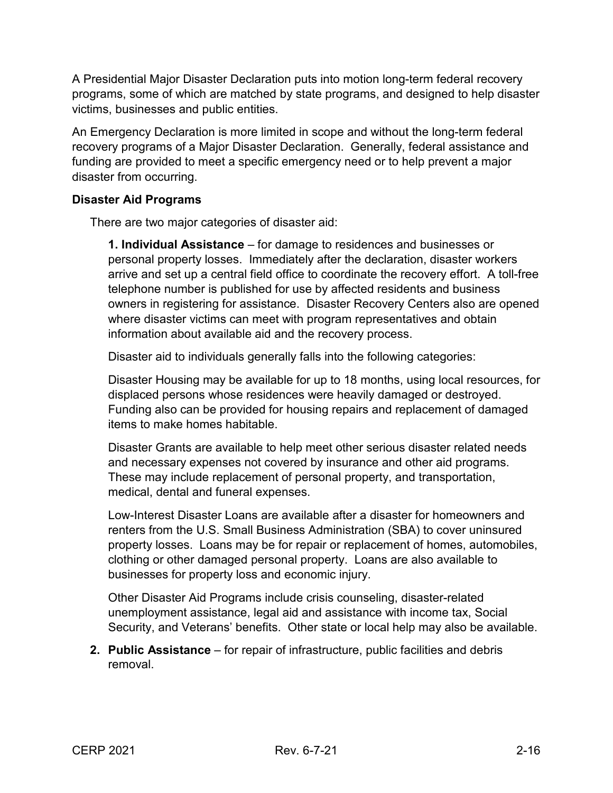A Presidential Major Disaster Declaration puts into motion long-term federal recovery programs, some of which are matched by state programs, and designed to help disaster victims, businesses and public entities.

An Emergency Declaration is more limited in scope and without the long-term federal recovery programs of a Major Disaster Declaration. Generally, federal assistance and funding are provided to meet a specific emergency need or to help prevent a major disaster from occurring.

## **Disaster Aid Programs**

There are two major categories of disaster aid:

**1. Individual Assistance** – for damage to residences and businesses or personal property losses. Immediately after the declaration, disaster workers arrive and set up a central field office to coordinate the recovery effort. A toll-free telephone number is published for use by affected residents and business owners in registering for assistance. Disaster Recovery Centers also are opened where disaster victims can meet with program representatives and obtain information about available aid and the recovery process.

Disaster aid to individuals generally falls into the following categories:

Disaster Housing may be available for up to 18 months, using local resources, for displaced persons whose residences were heavily damaged or destroyed. Funding also can be provided for housing repairs and replacement of damaged items to make homes habitable.

Disaster Grants are available to help meet other serious disaster related needs and necessary expenses not covered by insurance and other aid programs. These may include replacement of personal property, and transportation, medical, dental and funeral expenses.

Low-Interest Disaster Loans are available after a disaster for homeowners and renters from the U.S. Small Business Administration (SBA) to cover uninsured property losses. Loans may be for repair or replacement of homes, automobiles, clothing or other damaged personal property. Loans are also available to businesses for property loss and economic injury.

Other Disaster Aid Programs include crisis counseling, disaster-related unemployment assistance, legal aid and assistance with income tax, Social Security, and Veterans' benefits. Other state or local help may also be available.

**2. Public Assistance** – for repair of infrastructure, public facilities and debris removal.